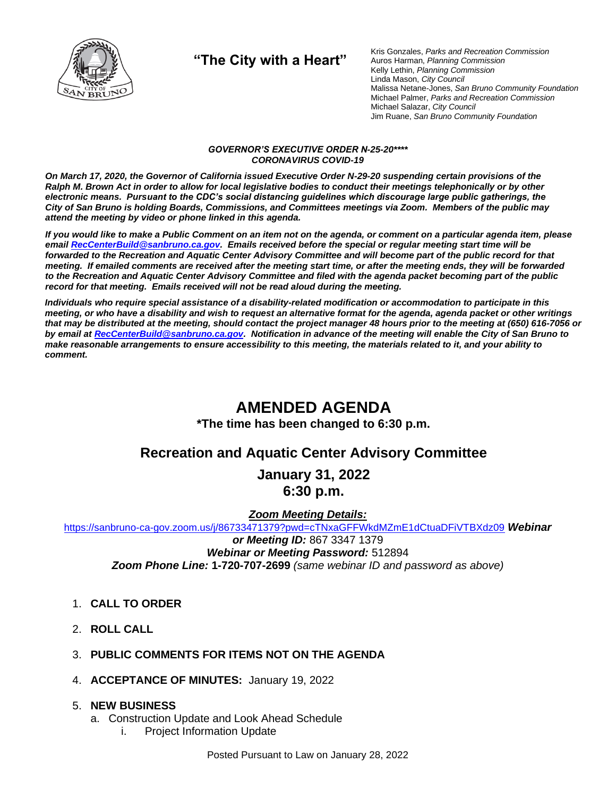

**"The City with a Heart"**

Kris Gonzales, *Parks and Recreation Commission* Auros Harman, *Planning Commission* Kelly Lethin, *Planning Commission* Linda Mason, *City Council* Malissa Netane-Jones, *San Bruno Community Foundation* Michael Palmer, *Parks and Recreation Commission* Michael Salazar, *City Council* Jim Ruane, *San Bruno Community Foundation*

#### *GOVERNOR'S EXECUTIVE ORDER N-25-20\*\*\*\* CORONAVIRUS COVID-19*

*On March 17, 2020, the Governor of California issued Executive Order N-29-20 suspending certain provisions of the Ralph M. Brown Act in order to allow for local legislative bodies to conduct their meetings telephonically or by other electronic means. Pursuant to the CDC's social distancing guidelines which discourage large public gatherings, the City of San Bruno is holding Boards, Commissions, and Committees meetings via Zoom. Members of the public may attend the meeting by video or phone linked in this agenda.*

*If you would like to make a Public Comment on an item not on the agenda, or comment on a particular agenda item, please emai[l RecCenterBuild@sanbruno.ca.gov.](mailto:RecCenterBuild@sanbruno.ca.gov) Emails received before the special or regular meeting start time will be forwarded to the Recreation and Aquatic Center Advisory Committee and will become part of the public record for that meeting. If emailed comments are received after the meeting start time, or after the meeting ends, they will be forwarded to the Recreation and Aquatic Center Advisory Committee and filed with the agenda packet becoming part of the public record for that meeting. Emails received will not be read aloud during the meeting.* 

*Individuals who require special assistance of a disability-related modification or accommodation to participate in this meeting, or who have a disability and wish to request an alternative format for the agenda, agenda packet or other writings that may be distributed at the meeting, should contact the project manager 48 hours prior to the meeting at (650) 616-7056 or by email a[t RecCenterBuild@sanbruno.ca.gov.](mailto:RecCenterBuild@sanbruno.ca.gov) Notification in advance of the meeting will enable the City of San Bruno to make reasonable arrangements to ensure accessibility to this meeting, the materials related to it, and your ability to comment.*

# **AMENDED AGENDA**

**\*The time has been changed to 6:30 p.m.**

## **Recreation and Aquatic Center Advisory Committee**

**January 31, 2022 6:30 p.m.**

*Zoom Meeting Details:*

[https://sanbruno-ca-gov.zoom.us/j/86733471379?pwd=cTNxaGFFWkdMZmE1dCtuaDFiVTBXdz09](https://sanbruno-ca-gov.zoom.us/j/86733471379?pwd=cTNxaGFFWkdMZmE1dCtuaDFiVTBXdz09%20) *Webinar*

*or Meeting ID:* 867 3347 1379

*Webinar or Meeting Password:* 512894 *Zoom Phone Line:* **1-720-707-2699** *(same webinar ID and password as above)*

- 1. **CALL TO ORDER**
- 2. **ROLL CALL**
- 3. **PUBLIC COMMENTS FOR ITEMS NOT ON THE AGENDA**
- 4. **ACCEPTANCE OF MINUTES:** January 19, 2022

### 5. **NEW BUSINESS**

- a. Construction Update and Look Ahead Schedule
	- i. Project Information Update